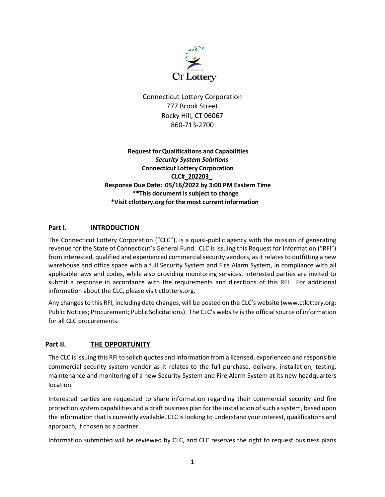

Connecticut Lottery Corporation 777 Brook Street Rocky Hill, CT 06067 860-713-2700

 **Request for Qualifications and Capabilities**  *Security System Solutions*  **Connecticut Lottery Corporation CLC#\_202203\_ Response Due Date: 05/16/2022 by 3:00 PM Eastern Time \*\*This document issubject to change \*Visit ctlottery.org for the most current information**

# Part I. **INTRODUCTION**

The Connecticut Lottery Corporation ("CLC"), is a quasi-public agency with the mission of generating revenue for the State of Connecticut's General Fund. CLC is issuing this Request for Information ("RFI") from interested, qualified and experienced commercial security vendors, as it relates to outfitting a new warehouse and office space with a full Security System and Fire Alarm System, in compliance with all applicable laws and codes, while also providing monitoring services. Interested parties are invited to submit a response in accordance with the requirements and directions of this RFI. For additional information about the CLC, please visit ctlottery.org.

Any changes to this RFI, including date changes, will be posted on the CLC's website (www.ctlottery.org; Public Notices; Procurement; Public Solicitations). The CLC's website is the official source of information for all CLC procurements.

## **Part II. THE OPPORTUNITY**

The CLC is issuing this RFI to solicit quotes and information from a licensed, experienced and responsible commercial security system vendor as it relates to the full purchase, delivery, installation, testing, maintenance and monitoring of a new Security System and Fire Alarm System at its new headquarters location.

Interested parties are requested to share information regarding their commercial security and fire protection system capabilities and a draft business plan for the installation of such a system, based upon the information that is currently available. CLC is looking to understand your interest, qualifications and approach, if chosen as a partner.

Information submitted will be reviewed by CLC, and CLC reserves the right to request business plans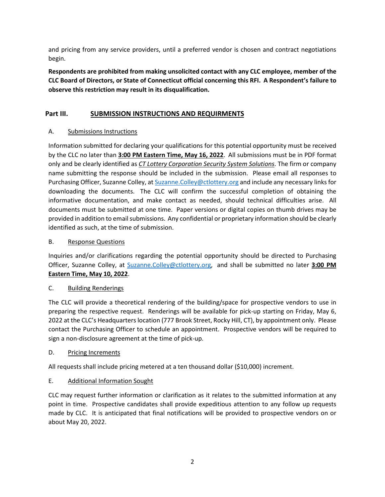and pricing from any service providers, until a preferred vendor is chosen and contract negotiations begin.

**Respondents are prohibited from making unsolicited contact with any CLC employee, member of the CLC Board of Directors, or State of Connecticut official concerning this RFI. A Respondent's failure to observe this restriction may result in its disqualification.**

## **Part III. SUBMISSION INSTRUCTIONS AND REQUIRMENTS**

## A. Submissions Instructions

Information submitted for declaring your qualifications for this potential opportunity must be received by the CLC no later than **3:00 PM Eastern Time, May 16, 2022**. All submissions must be in PDF format only and be clearly identified as *CT Lottery Corporation Security System Solutions*. The firm or company name submitting the response should be included in the submission. Please email all responses to Purchasing Officer, Suzanne Colley, at Suzanne. Colley@ctlottery.org and include any necessary links for downloading the documents. The CLC will confirm the successful completion of obtaining the informative documentation, and make contact as needed, should technical difficulties arise. All documents must be submitted at one time. Paper versions or digital copies on thumb drives may be provided in addition to email submissions. Any confidential or proprietary information should be clearly identified as such, at the time of submission.

### B. Response Questions

Inquiries and/or clarifications regarding the potential opportunity should be directed to Purchasing Officer, Suzanne Colley, at [Suzanne.Colley@ctlottery.org,](mailto:Suzanne.Colley@ctlottery.org) and shall be submitted no later **3:00 PM Eastern Time, May 10, 2022**.

#### C. Building Renderings

The CLC will provide a theoretical rendering of the building/space for prospective vendors to use in preparing the respective request. Renderings will be available for pick-up starting on Friday, May 6, 2022 at the CLC's Headquarters location (777 Brook Street, Rocky Hill, CT), by appointment only. Please contact the Purchasing Officer to schedule an appointment. Prospective vendors will be required to sign a non-disclosure agreement at the time of pick-up.

#### D. Pricing Increments

All requests shall include pricing metered at a ten thousand dollar (\$10,000) increment.

#### E. Additional Information Sought

CLC may request further information or clarification as it relates to the submitted information at any point in time. Prospective candidates shall provide expeditious attention to any follow up requests made by CLC. It is anticipated that final notifications will be provided to prospective vendors on or about May 20, 2022.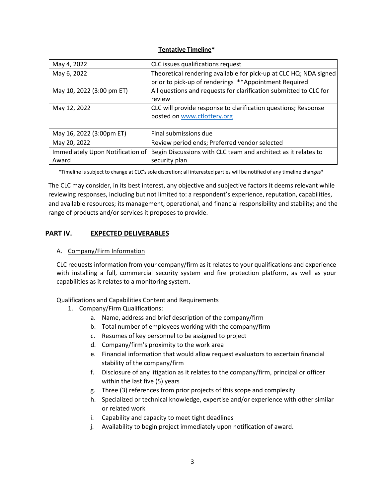#### **Tentative Timeline\***

| May 4, 2022                      | CLC issues qualifications request                                 |
|----------------------------------|-------------------------------------------------------------------|
| May 6, 2022                      | Theoretical rendering available for pick-up at CLC HQ; NDA signed |
|                                  | prior to pick-up of renderings **Appointment Required             |
| May 10, 2022 (3:00 pm ET)        | All questions and requests for clarification submitted to CLC for |
|                                  | review                                                            |
| May 12, 2022                     | CLC will provide response to clarification questions; Response    |
|                                  | posted on www.ctlottery.org                                       |
|                                  |                                                                   |
| May 16, 2022 (3:00pm ET)         | Final submissions due                                             |
| May 20, 2022                     | Review period ends; Preferred vendor selected                     |
| Immediately Upon Notification of | Begin Discussions with CLC team and architect as it relates to    |
| Award                            | security plan                                                     |

\*Timeline is subject to change at CLC's sole discretion; all interested parties will be notified of any timeline changes\*

The CLC may consider, in its best interest, any objective and subjective factors it deems relevant while reviewing responses, including but not limited to: a respondent's experience, reputation, capabilities, and available resources; its management, operational, and financial responsibility and stability; and the range of products and/or services it proposes to provide.

## **PART IV. EXPECTED DELIVERABLES**

#### A. Company/Firm Information

CLC requests information from your company/firm as it relates to your qualifications and experience with installing a full, commercial security system and fire protection platform, as well as your capabilities as it relates to a monitoring system.

#### Qualifications and Capabilities Content and Requirements

- 1. Company/Firm Qualifications:
	- a. Name, address and brief description of the company/firm
	- b. Total number of employees working with the company/firm
	- c. Resumes of key personnel to be assigned to project
	- d. Company/firm's proximity to the work area
	- e. Financial information that would allow request evaluators to ascertain financial stability of the company/firm
	- f. Disclosure of any litigation as it relates to the company/firm, principal or officer within the last five (5) years
	- g. Three (3) references from prior projects of this scope and complexity
	- h. Specialized or technical knowledge, expertise and/or experience with other similar or related work
	- i. Capability and capacity to meet tight deadlines
	- j. Availability to begin project immediately upon notification of award.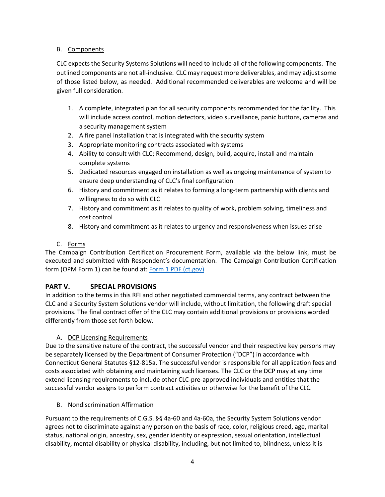## B. Components

CLC expects the Security Systems Solutions will need to include all of the following components. The outlined components are not all-inclusive. CLC may request more deliverables, and may adjust some of those listed below, as needed. Additional recommended deliverables are welcome and will be given full consideration.

- 1. A complete, integrated plan for all security components recommended for the facility. This will include access control, motion detectors, video surveillance, panic buttons, cameras and a security management system
- 2. A fire panel installation that is integrated with the security system
- 3. Appropriate monitoring contracts associated with systems
- 4. Ability to consult with CLC; Recommend, design, build, acquire, install and maintain complete systems
- 5. Dedicated resources engaged on installation as well as ongoing maintenance of system to ensure deep understanding of CLC's final configuration
- 6. History and commitment as it relates to forming a long-term partnership with clients and willingness to do so with CLC
- 7. History and commitment as it relates to quality of work, problem solving, timeliness and cost control
- 8. History and commitment as it relates to urgency and responsiveness when issues arise

## C. Forms

The Campaign Contribution Certification Procurement Form, available via the below link, must be executed and submitted with Respondent's documentation. The Campaign Contribution Certification form (OPM Form 1) can be found at: [Form 1 PDF \(ct.gov\)](https://portal.ct.gov/-/media/OPM/Fin-General/OPM-Form1-CampaignContributionCertification-8-18-Final.pdf)

## **PART V. SPECIAL PROVISIONS**

In addition to the terms in this RFI and other negotiated commercial terms, any contract between the CLC and a Security System Solutions vendor will include, without limitation, the following draft special provisions. The final contract offer of the CLC may contain additional provisions or provisions worded differently from those set forth below.

## A. DCP Licensing Requirements

Due to the sensitive nature of the contract, the successful vendor and their respective key persons may be separately licensed by the Department of Consumer Protection ("DCP") in accordance with Connecticut General Statutes §12-815a. The successful vendor is responsible for all application fees and costs associated with obtaining and maintaining such licenses. The CLC or the DCP may at any time extend licensing requirements to include other CLC-pre-approved individuals and entities that the successful vendor assigns to perform contract activities or otherwise for the benefit of the CLC.

## B. Nondiscrimination Affirmation

Pursuant to the requirements of C.G.S. §§ 4a-60 and 4a-60a, the Security System Solutions vendor agrees not to discriminate against any person on the basis of race, color, religious creed, age, marital status, national origin, ancestry, sex, gender identity or expression, sexual orientation, intellectual disability, mental disability or physical disability, including, but not limited to, blindness, unless it is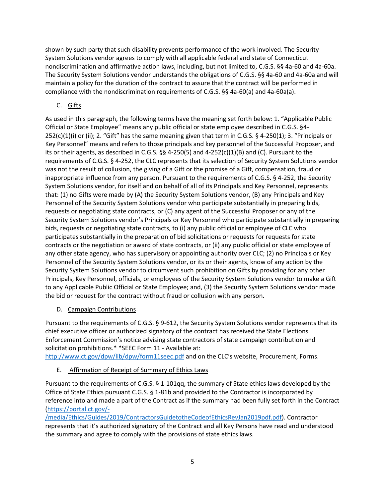shown by such party that such disability prevents performance of the work involved. The Security System Solutions vendor agrees to comply with all applicable federal and state of Connecticut nondiscrimination and affirmative action laws, including, but not limited to, C.G.S. §§ 4a-60 and 4a-60a. The Security System Solutions vendor understands the obligations of C.G.S. §§ 4a-60 and 4a-60a and will maintain a policy for the duration of the contract to assure that the contract will be performed in compliance with the nondiscrimination requirements of C.G.S. §§ 4a-60(a) and 4a-60a(a).

# C. Gifts

As used in this paragraph, the following terms have the meaning set forth below: 1. "Applicable Public Official or State Employee" means any public official or state employee described in C.G.S. §4- 252(c)(1)(i) or (ii); 2. "Gift" has the same meaning given that term in C.G.S. § 4-250(1); 3. "Principals or Key Personnel" means and refers to those principals and key personnel of the Successful Proposer, and its or their agents, as described in C.G.S.  $\S$ § 4-250(5) and 4-252(c)(1)(B) and (C). Pursuant to the requirements of C.G.S. § 4-252, the CLC represents that its selection of Security System Solutions vendor was not the result of collusion, the giving of a Gift or the promise of a Gift, compensation, fraud or inappropriate influence from any person. Pursuant to the requirements of C.G.S. § 4-252, the Security System Solutions vendor, for itself and on behalf of all of its Principals and Key Personnel, represents that: (1) no Gifts were made by (A) the Security System Solutions vendor, (B) any Principals and Key Personnel of the Security System Solutions vendor who participate substantially in preparing bids, requests or negotiating state contracts, or (C) any agent of the Successful Proposer or any of the Security System Solutions vendor's Principals or Key Personnel who participate substantially in preparing bids, requests or negotiating state contracts, to (i) any public official or employee of CLC who participates substantially in the preparation of bid solicitations or requests for requests for state contracts or the negotiation or award of state contracts, or (ii) any public official or state employee of any other state agency, who has supervisory or appointing authority over CLC; (2) no Principals or Key Personnel of the Security System Solutions vendor, or its or their agents, know of any action by the Security System Solutions vendor to circumvent such prohibition on Gifts by providing for any other Principals, Key Personnel, officials, or employees of the Security System Solutions vendor to make a Gift to any Applicable Public Official or State Employee; and, (3) the Security System Solutions vendor made the bid or request for the contract without fraud or collusion with any person.

## D. Campaign Contributions

Pursuant to the requirements of C.G.S. § 9-612, the Security System Solutions vendor represents that its chief executive officer or authorized signatory of the contract has received the State Elections Enforcement Commission's notice advising state contractors of state campaign contribution and solicitation prohibitions.\* \*SEEC Form 11 - Available at:

<http://www.ct.gov/dpw/lib/dpw/form11seec.pdf> and on the CLC's website, Procurement, Forms.

E. Affirmation of Receipt of Summary of Ethics Laws

Pursuant to the requirements of C.G.S. § 1-101qq, the summary of State ethics laws developed by the Office of State Ethics pursuant C.G.S. § 1-81b and provided to the Contractor is incorporated by reference into and made a part of the Contract as if the summary had been fully set forth in the Contract [\(https://portal.ct.gov/-](https://portal.ct.gov/-/media/Ethics/Guides/2019/ContractorsGuidetotheCodeofEthicsRevJan2019pdf.pdf)

[/media/Ethics/Guides/2019/ContractorsGuidetotheCodeofEthicsRevJan2019pdf.pdf\)](https://portal.ct.gov/-/media/Ethics/Guides/2019/ContractorsGuidetotheCodeofEthicsRevJan2019pdf.pdf). Contractor represents that it's authorized signatory of the Contract and all Key Persons have read and understood the summary and agree to comply with the provisions of state ethics laws.